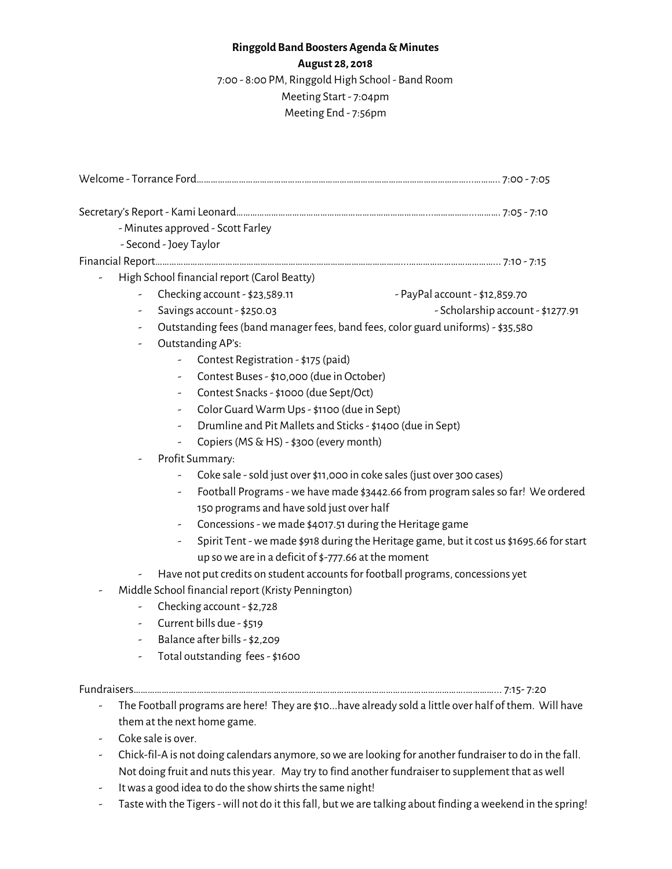## **Ringgold Band Boosters Agenda &Minutes August 28, 2018** 7:00 - 8:00 PM, Ringgold High School - Band Room Meeting Start - 7:04pm Meeting End - 7:56pm

|                                                                                                       | - Minutes approved - Scott Farley                                                                                                                           |                                                                                                                            |  |
|-------------------------------------------------------------------------------------------------------|-------------------------------------------------------------------------------------------------------------------------------------------------------------|----------------------------------------------------------------------------------------------------------------------------|--|
|                                                                                                       | - Second - Joey Taylor                                                                                                                                      |                                                                                                                            |  |
|                                                                                                       |                                                                                                                                                             |                                                                                                                            |  |
|                                                                                                       | High School financial report (Carol Beatty)                                                                                                                 |                                                                                                                            |  |
|                                                                                                       | Checking account - \$23,589.11                                                                                                                              | - PayPal account - \$12,859.70                                                                                             |  |
| -                                                                                                     | Savings account - \$250.03<br>- Scholarship account - \$1277.91                                                                                             |                                                                                                                            |  |
|                                                                                                       | Outstanding fees (band manager fees, band fees, color guard uniforms) - \$35,580                                                                            |                                                                                                                            |  |
|                                                                                                       | Outstanding AP's:                                                                                                                                           |                                                                                                                            |  |
|                                                                                                       |                                                                                                                                                             | Contest Registration - \$175 (paid)<br>Contest Buses - \$10,000 (due in October)<br>Contest Snacks - \$1000 (due Sept/Oct) |  |
|                                                                                                       |                                                                                                                                                             |                                                                                                                            |  |
|                                                                                                       |                                                                                                                                                             |                                                                                                                            |  |
|                                                                                                       | Color Guard Warm Ups - \$1100 (due in Sept)                                                                                                                 |                                                                                                                            |  |
| Drumline and Pit Mallets and Sticks - \$1400 (due in Sept)<br>Copiers (MS & HS) - \$300 (every month) |                                                                                                                                                             |                                                                                                                            |  |
|                                                                                                       |                                                                                                                                                             |                                                                                                                            |  |
| Profit Summary:                                                                                       |                                                                                                                                                             |                                                                                                                            |  |
|                                                                                                       | Coke sale - sold just over \$11,000 in coke sales (just over 300 cases)<br>Football Programs - we have made \$3442.66 from program sales so far! We ordered |                                                                                                                            |  |
|                                                                                                       |                                                                                                                                                             |                                                                                                                            |  |
|                                                                                                       | 150 programs and have sold just over half                                                                                                                   |                                                                                                                            |  |
|                                                                                                       | Concessions - we made \$4017.51 during the Heritage game                                                                                                    |                                                                                                                            |  |
|                                                                                                       |                                                                                                                                                             | Spirit Tent - we made \$918 during the Heritage game, but it cost us \$1695.66 for start                                   |  |
|                                                                                                       | up so we are in a deficit of $\frac{1}{2}$ -777.66 at the moment                                                                                            |                                                                                                                            |  |
|                                                                                                       | Have not put credits on student accounts for football programs, concessions yet                                                                             |                                                                                                                            |  |
|                                                                                                       | Middle School financial report (Kristy Pennington)                                                                                                          |                                                                                                                            |  |
|                                                                                                       | Checking account - \$2,728                                                                                                                                  |                                                                                                                            |  |
|                                                                                                       | Current bills due - \$519                                                                                                                                   |                                                                                                                            |  |
|                                                                                                       | Balance after bills - \$2,209                                                                                                                               |                                                                                                                            |  |
|                                                                                                       | Total outstanding fees - \$1600                                                                                                                             |                                                                                                                            |  |
|                                                                                                       |                                                                                                                                                             |                                                                                                                            |  |
|                                                                                                       |                                                                                                                                                             | The Football programs are here! They are \$10have already sold a little over half of them. Will have                       |  |
|                                                                                                       | them at the next home game.                                                                                                                                 |                                                                                                                            |  |
|                                                                                                       | Coke sale is over.                                                                                                                                          |                                                                                                                            |  |

- Chick-fil-A is not doing calendars anymore,sowe are looking for another fundraiser to do in the fall. Not doing fruit and nuts this year. May try to find another fundraiser to supplement that as well
- It was a good idea to do the show shirts the same night!
- Tastewith the Tigers-will not do it thisfall, butwe are talking about finding aweekend in the spring!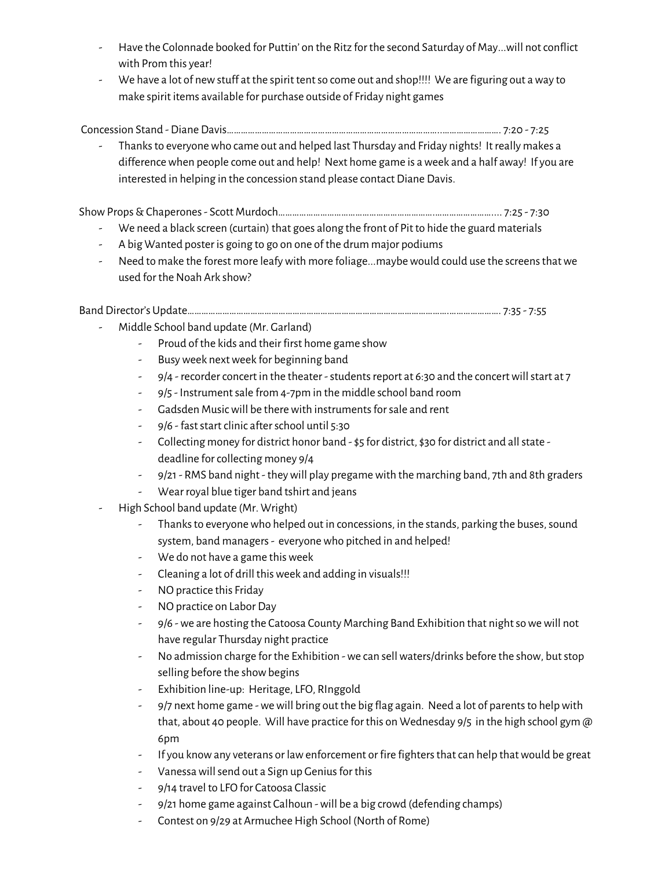- Have the Colonnade booked for Puttin' on the Ritz for the second Saturday of May...will notconflict with Prom this year!
- We have a lot of newstuff at the spirit tentso come out and shop!!!! We are figuring out away to make spirit items available for purchase outside of Friday night games

Concession Stand - Diane Davis………………………………………………………………………………..……………………. 7:20 - 7:25

- Thanksto everyonewho came out and helped last Thursday and Friday nights! It really makes a differencewhen people come out and help! Next home game is aweek and a half away! If you are interested in helping in the concession stand please contact Diane Davis.

ShowProps&Chaperones- Scott Murdoch………………………………………………………….…………………….... 7:25 - 7:30

- We need a black screen (curtain) that goes along the front of Pit to hide the guard materials
- A big Wanted poster is going to go on one of the drum major podiums
- Need to make the forest more leafy with more foliage...maybe would could use the screens that we used for the Noah Ark show?

Band Director's Update………………………………………………………………………………………………….…………………. 7:35 - 7:55

- Middle School band update (Mr. Garland)
	- Proud of the kids and their first home game show
	- Busyweek nextweek for beginning band
	- 9/4 recorder concert in the theater students report at 6:30 and the concert will start at 7
	- 9/5 Instrument sale from 4-7pm in the middle school band room
	- Gadsden Music will be there with instruments for sale and rent
	- 9/6 fast start clinic after school until 5:30
	- Collecting money for district honor band \$5 for district, \$30 for district and all state deadline for collecting money 9/4
	- 9/21- RMS band night theywill play pregamewith the marching band, 7th and 8th graders
	- Wear royal blue tiger band tshirt and jeans
- High School band update (Mr. Wright)
	- Thanks to everyone who helped out in concessions, in the stands, parking the buses, sound system, band managers- everyonewho pitched in and helped!
	- We do not have a game thisweek
	- Cleaning a lot of drill thisweek and adding in visuals!!!
	- NO practice this Friday
	- NO practice on Labor Day
	- 9/6 we are hosting the Catoosa County Marching Band Exhibition that night so we will not have regular Thursday night practice
	- No admission charge for the Exhibition we can sell waters/drinks before the show, but stop selling before the show begins
	- Exhibition line-up: Heritage, LFO, RInggold
	- 9/7 next home game we will bring out the big flag again. Need a lot of parents to help with that, about 40 people. Will have practice for this on Wednesday 9/5 in the high school gym @ 6pm
	- If you know any veterans or law enforcement or fire fighters that can help that would be great
	- Vanessa will send out a Sign up Genius for this
	- 9/14 travel to LFO for Catoosa Classic
	- 9/21 home game against Calhoun -will be a big crowd (defending champs)
	- Contest on 9/29 at Armuchee High School (North of Rome)